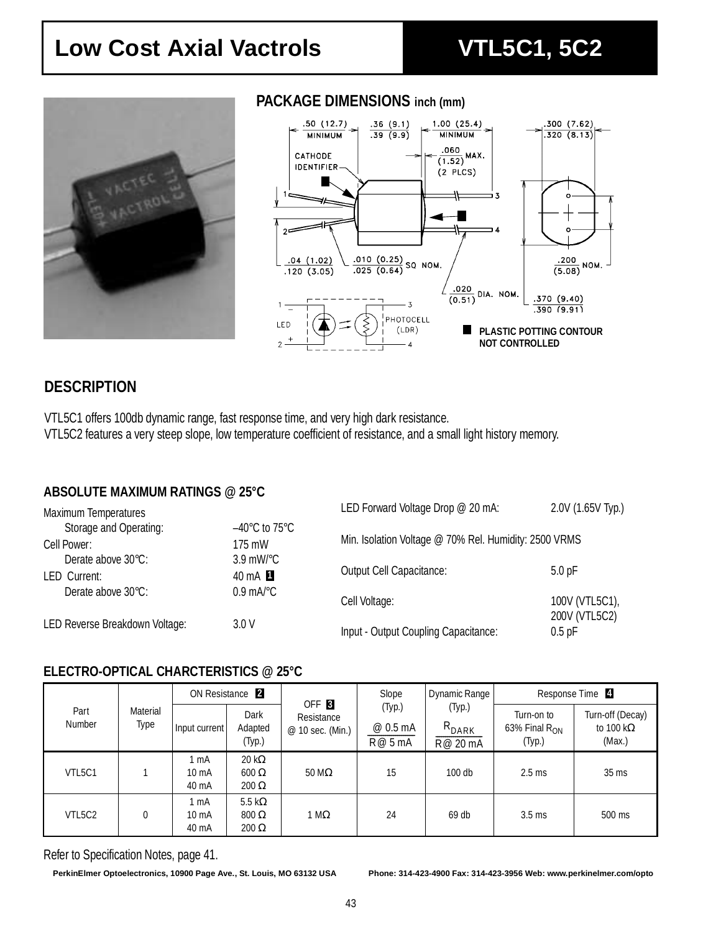## Low Cost Axial Vactrols<br>
VTL5C1, 5C2



### **PACKAGE DIMENSIONS inch (mm)**



## **DESCRIPTION**

VTL5C1 offers 100db dynamic range, fast response time, and very high dark resistance. VTL5C2 features a very steep slope, low temperature coefficient of resistance, and a small light history memory.

#### **ABSOLUTE MAXIMUM RATINGS @ 25°C**

| <b>Maximum Temperatures</b>    |                                    | LED Forward Voltage Drop @ 20 mA:                     | 2.0V (1.65V Typ.)               |  |  |
|--------------------------------|------------------------------------|-------------------------------------------------------|---------------------------------|--|--|
| Storage and Operating:         | $-40^{\circ}$ C to 75 $^{\circ}$ C |                                                       |                                 |  |  |
| Cell Power:                    | 175 mW                             | Min. Isolation Voltage @ 70% Rel. Humidity: 2500 VRMS |                                 |  |  |
| Derate above 30°C:             | $3.9$ mW/ $^{\circ}$ C             | <b>Output Cell Capacitance:</b>                       | 5.0 <sub>pF</sub>               |  |  |
| LED Current:                   | 40 mA 1                            |                                                       |                                 |  |  |
| Derate above 30°C:             | $0.9 \text{ mA}^{\circ}$ C         | Cell Voltage:                                         | 100V (VTL5C1),<br>200V (VTL5C2) |  |  |
| LED Reverse Breakdown Voltage: | 3.0V                               | Input - Output Coupling Capacitance:                  | $0.5$ pF                        |  |  |

#### **ELECTRO-OPTICAL CHARCTERISTICS @ 25°C**

| Part<br><b>Number</b> |                  | ON Resistance <sub>2</sub> |                                                |                                                    | Slope                       | Dynamic Range                    | Response Time 4                            |                                                 |
|-----------------------|------------------|----------------------------|------------------------------------------------|----------------------------------------------------|-----------------------------|----------------------------------|--------------------------------------------|-------------------------------------------------|
|                       | Material<br>Type | Input current              | Dark<br>Adapted<br>(Typ.)                      | OFF <sub>8</sub><br>Resistance<br>@ 10 sec. (Min.) | (Typ.)<br>@ 0.5 mA<br>R@5mA | (Typ.)<br>$R_{DARK}$<br>R@ 20 mA | Turn-on to<br>63% Final $R_{ON}$<br>(Typ.) | Turn-off (Decay)<br>to 100 k $\Omega$<br>(Max.) |
| VTL5C1                |                  | 1 mA<br>10 mA<br>40 mA     | 20 k $\Omega$<br>$600 \Omega$<br>$200 \Omega$  | $50 \text{ M}\Omega$                               | 15                          | $100$ db                         | $2.5$ ms                                   | $35 \text{ ms}$                                 |
| VTL5C2                | 0                | 1 mA<br>10 mA<br>40 mA     | 5.5 k $\Omega$<br>$800 \Omega$<br>$200 \Omega$ | 1 M $\Omega$                                       | 24                          | $69$ db                          | $3.5$ ms                                   | 500 ms                                          |

Refer to Specification Notes, page 41.

**PerkinElmer Optoelectronics, 10900 Page Ave., St. Louis, MO 63132 USA Phone: 314-423-4900 Fax: 314-423-3956 Web: www.perkinelmer.com/opto**